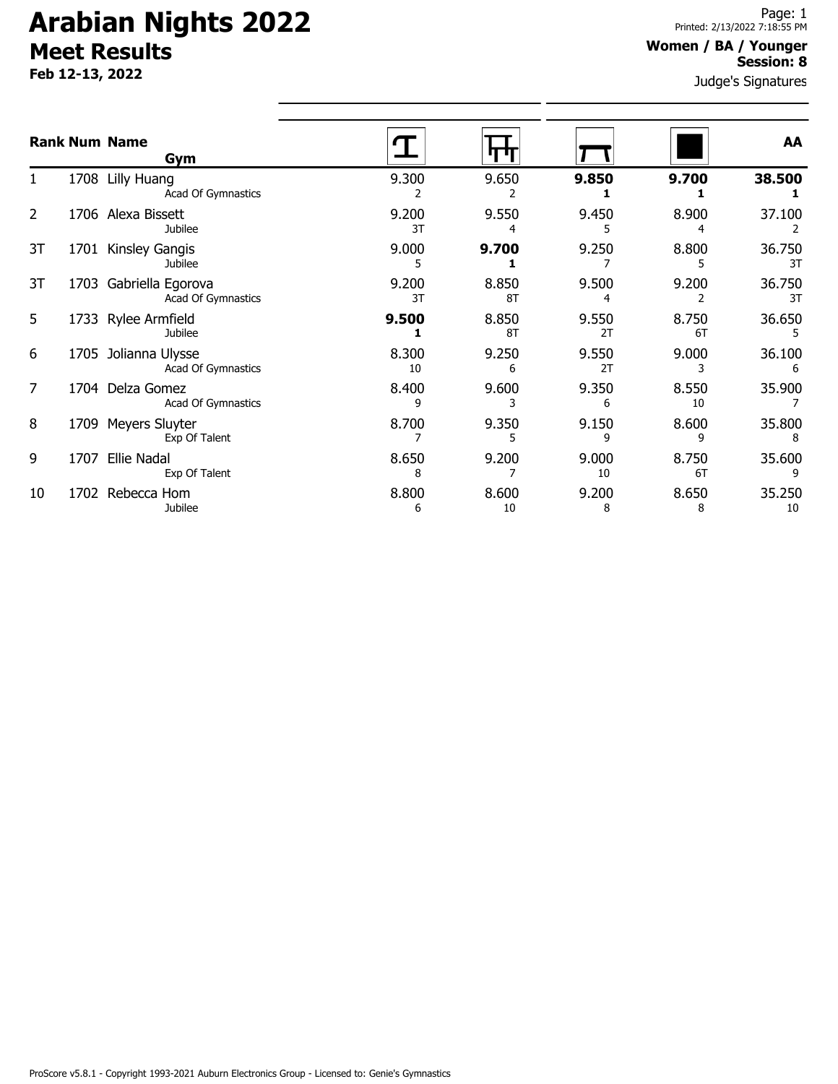# **Arabian Nights 2022 Meet Results**

**Feb 12-13, 2022**

### **Women / BA / Younger Session: 8**

Judge's Signatures

|    |      | <b>Rank Num Name</b><br>Gym                |             |             |             |             | AA           |
|----|------|--------------------------------------------|-------------|-------------|-------------|-------------|--------------|
|    | 1708 | Lilly Huang<br>Acad Of Gymnastics          | 9.300       | 9.650       | 9.850       | 9.700       | 38.500       |
| 2  |      | 1706 Alexa Bissett<br>Jubilee              | 9.200<br>3T | 9.550<br>4  | 9.450       | 8.900       | 37.100       |
| 3T | 1701 | Kinsley Gangis<br><b>Jubilee</b>           | 9.000<br>5  | 9.700       | 9.250       | 8.800       | 36.750<br>3T |
| 3T | 1703 | Gabriella Egorova<br>Acad Of Gymnastics    | 9.200<br>3T | 8.850<br>8T | 9.500       | 9.200       | 36.750<br>3T |
| 5  | 1733 | Rylee Armfield<br>Jubilee                  | 9.500       | 8.850<br>8T | 9.550<br>2T | 8.750<br>6T | 36.650       |
| 6  |      | 1705 Jolianna Ulysse<br>Acad Of Gymnastics | 8.300<br>10 | 9.250<br>6  | 9.550<br>2T | 9.000<br>3  | 36.100<br>6  |
| 7  | 1704 | Delza Gomez<br>Acad Of Gymnastics          | 8.400<br>9  | 9.600<br>3  | 9.350<br>6  | 8.550<br>10 | 35.900       |
| 8  | 1709 | Meyers Sluyter<br>Exp Of Talent            | 8.700       | 9.350       | 9.150<br>٩  | 8.600<br>٩  | 35.800       |
| 9  | 1707 | <b>Ellie Nadal</b><br>Exp Of Talent        | 8.650<br>8  | 9.200       | 9.000<br>10 | 8.750<br>6T | 35.600       |
| 10 | 1702 | Rebecca Hom<br>Jubilee                     | 8.800<br>6  | 8.600<br>10 | 9.200<br>8  | 8.650<br>8  | 35.250<br>10 |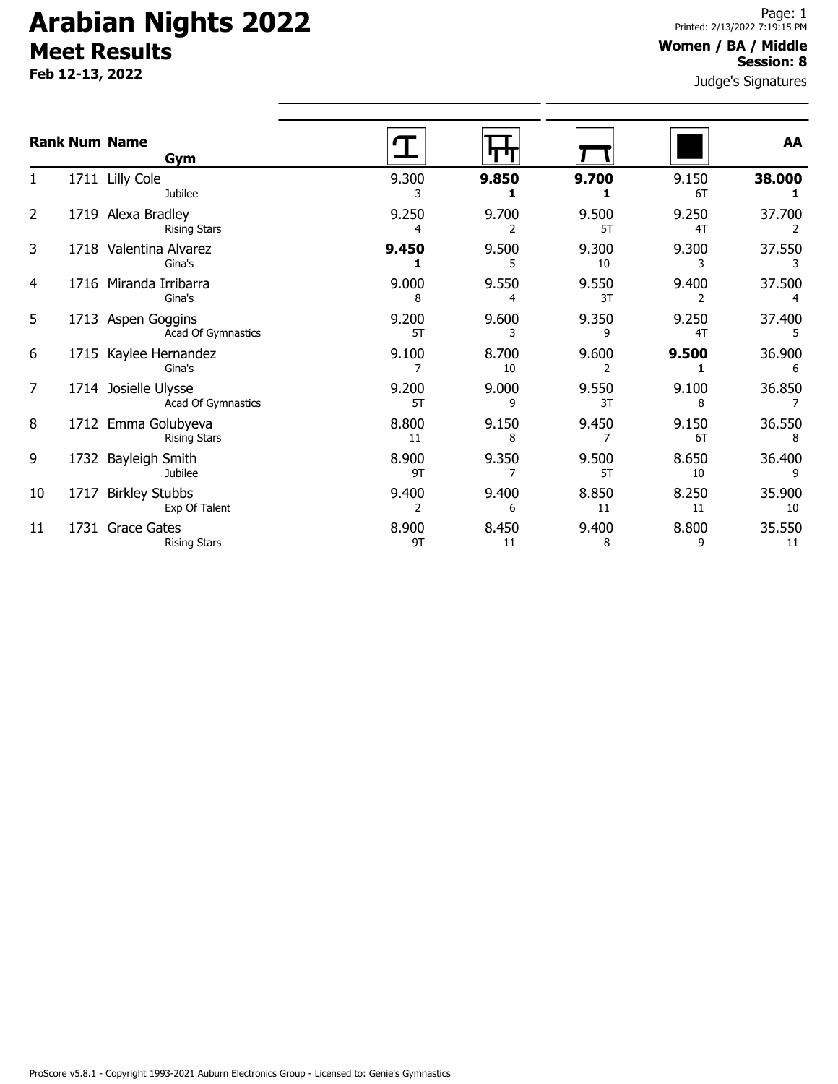## **Arabian Nights 2022 Meet Results**

**Feb 12-13, 2022**

#### **Women / BA / Middle Session: 8**

Judge's Signatures

|    |      | <b>Rank Num Name</b><br>Gym                |             |             |             |             | AA           |
|----|------|--------------------------------------------|-------------|-------------|-------------|-------------|--------------|
|    |      | 1711 Lilly Cole<br>Jubilee                 | 9.300       | 9.850       | 9.700       | 9.150<br>6T | 38.000       |
| 2  |      | 1719 Alexa Bradley<br><b>Rising Stars</b>  | 9.250       | 9.700<br>2  | 9.500<br>5T | 9.250<br>4T | 37.700       |
| 3  |      | 1718 Valentina Alvarez<br>Gina's           | 9.450       | 9.500       | 9.300<br>10 | 9.300<br>3  | 37.550       |
| 4  |      | 1716 Miranda Irribarra<br>Gina's           | 9.000<br>8  | 9.550<br>4  | 9.550<br>3T | 9.400       | 37.500       |
| 5  |      | 1713 Aspen Goggins<br>Acad Of Gymnastics   | 9.200<br>5T | 9.600<br>3  | 9.350<br>9  | 9.250<br>4T | 37.400       |
| 6  |      | 1715 Kaylee Hernandez<br>Gina's            | 9.100       | 8.700<br>10 | 9.600       | 9.500       | 36.900<br>6  |
| 7  |      | 1714 Josielle Ulysse<br>Acad Of Gymnastics | 9.200<br>5T | 9.000<br>9  | 9.550<br>3T | 9.100<br>8  | 36.850       |
| 8  |      | 1712 Emma Golubyeva<br><b>Rising Stars</b> | 8.800<br>11 | 9.150<br>8  | 9.450       | 9.150<br>6T | 36.550<br>8  |
| 9  | 1732 | Bayleigh Smith<br><b>Jubilee</b>           | 8.900<br>9T | 9.350       | 9.500<br>5T | 8.650<br>10 | 36.400       |
| 10 | 1717 | <b>Birkley Stubbs</b><br>Exp Of Talent     | 9.400<br>2  | 9.400<br>6  | 8.850<br>11 | 8.250<br>11 | 35.900<br>10 |
| 11 |      | 1731 Grace Gates<br><b>Rising Stars</b>    | 8.900<br>9T | 8.450<br>11 | 9.400<br>8  | 8.800<br>9  | 35.550<br>11 |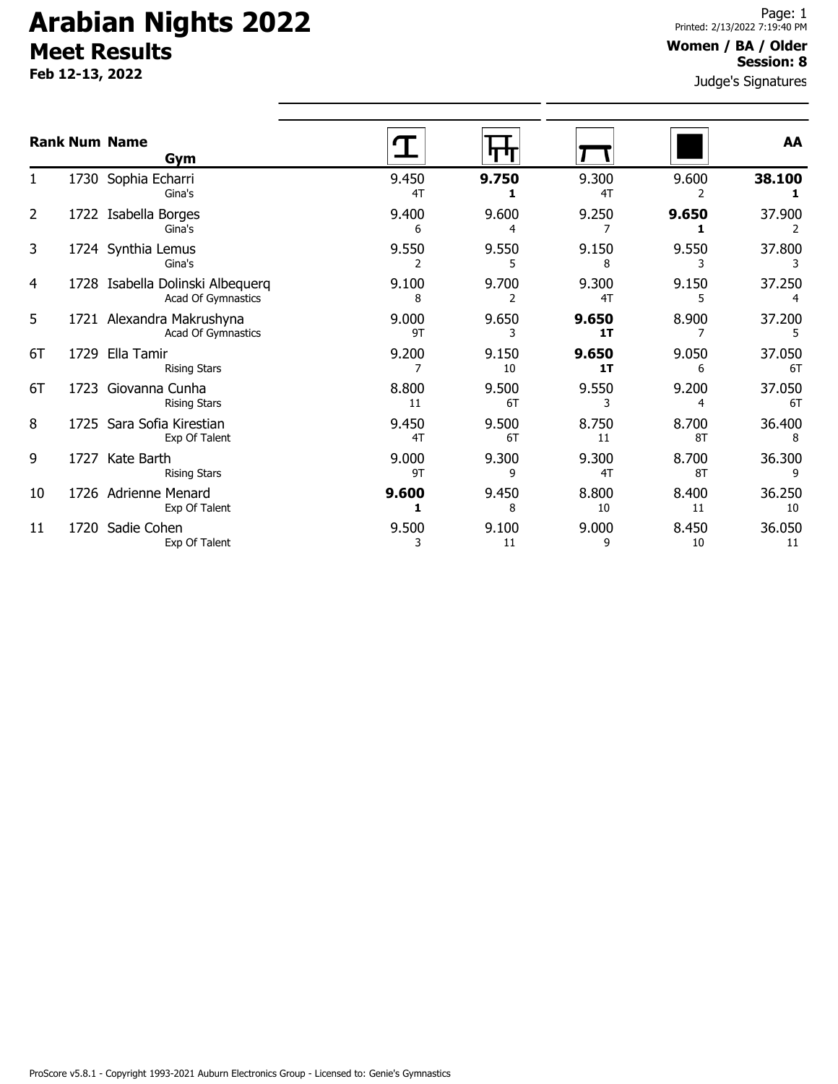## **Arabian Nights 2022 Meet Results**

**Feb 12-13, 2022**

#### **Women / BA / Older Session: 8**

Judge's Signatures

|    | <b>Rank Num Name</b><br>Gym                                   |             |             |             |             | AA           |
|----|---------------------------------------------------------------|-------------|-------------|-------------|-------------|--------------|
|    | 1730 Sophia Echarri<br>Gina's                                 | 9.450<br>4T | 9.750       | 9.300<br>4T | 9.600       | 38.100       |
| 2  | 1722 Isabella Borges<br>Gina's                                | 9.400<br>6  | 9.600       | 9.250       | 9.650       | 37.900       |
| 3  | 1724 Synthia Lemus<br>Gina's                                  | 9.550       | 9.550<br>5  | 9.150<br>8  | 9.550<br>3  | 37.800       |
| 4  | 1728 Isabella Dolinski Albequerq<br><b>Acad Of Gymnastics</b> | 9.100<br>8  | 9.700<br>2  | 9.300<br>4T | 9.150<br>5  | 37.250       |
| 5  | 1721 Alexandra Makrushyna<br>Acad Of Gymnastics               | 9.000<br>9T | 9.650<br>3  | 9.650<br>1T | 8.900       | 37.200<br>5  |
| 6T | 1729 Ella Tamir<br><b>Rising Stars</b>                        | 9.200       | 9.150<br>10 | 9.650<br>1T | 9.050<br>6  | 37.050<br>6T |
| 6T | 1723 Giovanna Cunha<br><b>Rising Stars</b>                    | 8.800<br>11 | 9.500<br>6T | 9.550<br>3  | 9.200<br>4  | 37.050<br>6T |
| 8  | 1725 Sara Sofia Kirestian<br>Exp Of Talent                    | 9.450<br>4T | 9.500<br>6T | 8.750<br>11 | 8.700<br>8T | 36.400<br>8  |
| 9  | 1727 Kate Barth<br><b>Rising Stars</b>                        | 9.000<br>9T | 9.300<br>9  | 9.300<br>4T | 8.700<br>8T | 36.300<br>9  |
| 10 | 1726 Adrienne Menard<br>Exp Of Talent                         | 9.600       | 9.450<br>8  | 8.800<br>10 | 8.400<br>11 | 36.250<br>10 |
| 11 | 1720 Sadie Cohen<br>Exp Of Talent                             | 9.500<br>3  | 9.100<br>11 | 9.000<br>9  | 8.450<br>10 | 36.050<br>11 |